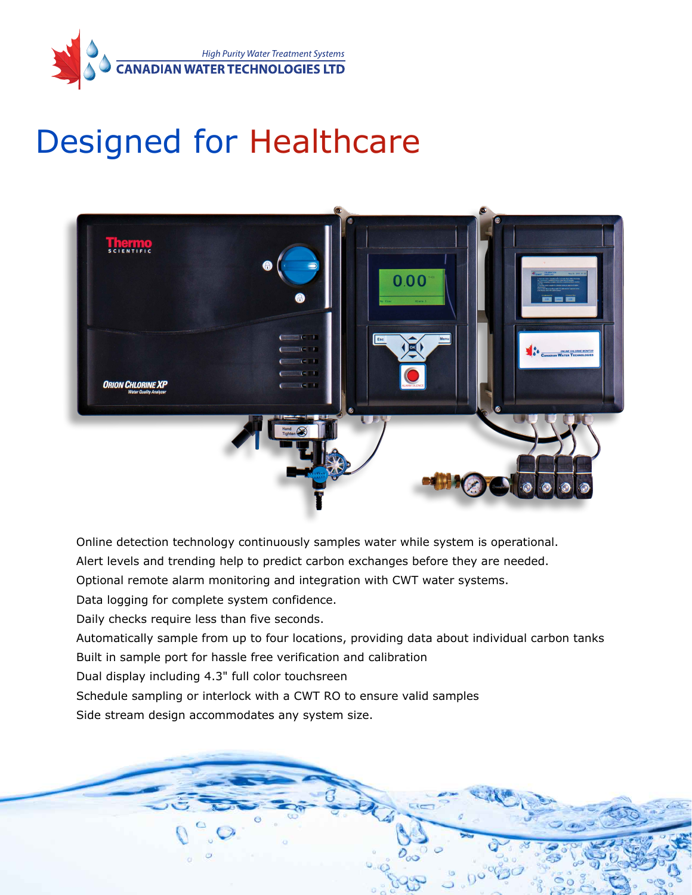

# Designed for Healthcare



Online detection technology continuously samples water while system is operational.

Alert levels and trending help to predict carbon exchanges before they are needed.

Optional remote alarm monitoring and integration with CWT water systems.

Data logging for complete system confidence.

Daily checks require less than five seconds.

Automatically sample from up to four locations, providing data about individual carbon tanks

Built in sample port for hassle free verification and calibration

Dual display including 4.3" full color touchsreen

Schedule sampling or interlock with a CWT RO to ensure valid samples

Side stream design accommodates any system size.